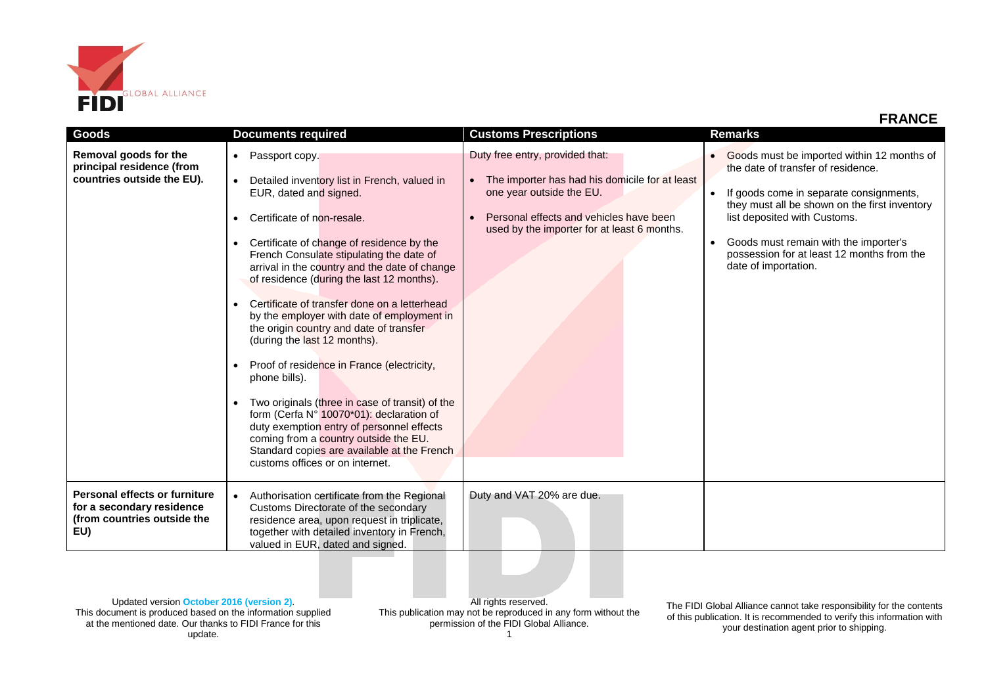

| Goods                                                                                            | <b>Documents required</b>                                                                                                                                                                                                                                                                                                                                                                                                                                                                                                                                                                                                                                                                                                                                                                                                                                                                     | <b>Customs Prescriptions</b>                                                                                                                                                                                         | <b>Remarks</b>                                                                                                                                                                                                                                                                                                              |
|--------------------------------------------------------------------------------------------------|-----------------------------------------------------------------------------------------------------------------------------------------------------------------------------------------------------------------------------------------------------------------------------------------------------------------------------------------------------------------------------------------------------------------------------------------------------------------------------------------------------------------------------------------------------------------------------------------------------------------------------------------------------------------------------------------------------------------------------------------------------------------------------------------------------------------------------------------------------------------------------------------------|----------------------------------------------------------------------------------------------------------------------------------------------------------------------------------------------------------------------|-----------------------------------------------------------------------------------------------------------------------------------------------------------------------------------------------------------------------------------------------------------------------------------------------------------------------------|
| Removal goods for the<br>principal residence (from<br>countries outside the EU).                 | Passport copy.<br>$\bullet$<br>Detailed inventory list in French, valued in<br>$\bullet$<br>EUR, dated and signed.<br>Certificate of non-resale.<br>Certificate of change of residence by the<br>$\bullet$<br>French Consulate stipulating the date of<br>arrival in the country and the date of change<br>of residence (during the last 12 months).<br>Certificate of transfer done on a letterhead<br>by the employer with date of employment in<br>the origin country and date of transfer<br>(during the last 12 months).<br>Proof of residence in France (electricity,<br>$\bullet$<br>phone bills).<br>Two originals (three in case of transit) of the<br>$\bullet$<br>form (Cerfa N° 10070*01): declaration of<br>duty exemption entry of personnel effects<br>coming from a country outside the EU.<br>Standard copies are available at the French<br>customs offices or on internet. | Duty free entry, provided that:<br>The importer has had his domicile for at least<br>$\bullet$<br>one year outside the EU.<br>Personal effects and vehicles have been<br>used by the importer for at least 6 months. | Goods must be imported within 12 months of<br>the date of transfer of residence.<br>If goods come in separate consignments,<br>they must all be shown on the first inventory<br>list deposited with Customs.<br>Goods must remain with the importer's<br>possession for at least 12 months from the<br>date of importation. |
| Personal effects or furniture<br>for a secondary residence<br>(from countries outside the<br>EU) | Authorisation certificate from the Regional<br>$\bullet$<br>Customs Directorate of the secondary<br>residence area, upon request in triplicate,<br>together with detailed inventory in French,<br>valued in EUR, dated and signed.                                                                                                                                                                                                                                                                                                                                                                                                                                                                                                                                                                                                                                                            | Duty and VAT 20% are due.                                                                                                                                                                                            |                                                                                                                                                                                                                                                                                                                             |

Updated version **October 2016 (version 2)**. This document is produced based on the information supplied at the mentioned date. Our thanks to FIDI France for this update.

All rights reserved. This publication may not be reproduced in any form without the permission of the FIDI Global Alliance. 1

The FIDI Global Alliance cannot take responsibility for the contents of this publication. It is recommended to verify this information with your destination agent prior to shipping.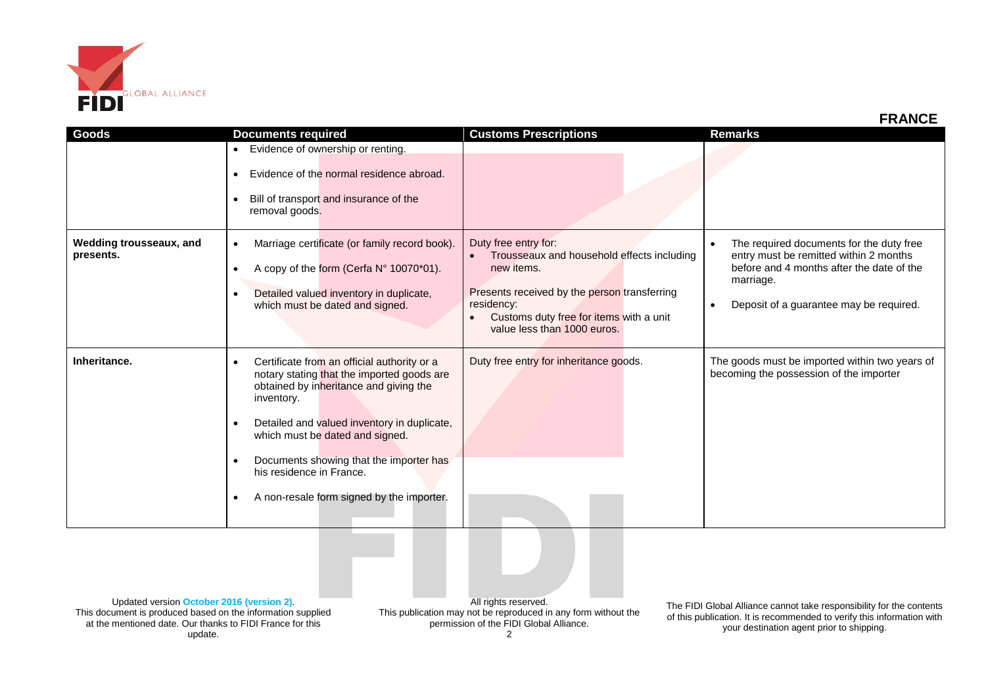

| Goods                                | <b>Documents required</b>                                                                                                                                                                                                                                                                                                                                                                           | <b>Customs Prescriptions</b>                                                                                                                                                                                             | <b>Remarks</b>                                                                                                                                                                                                    |
|--------------------------------------|-----------------------------------------------------------------------------------------------------------------------------------------------------------------------------------------------------------------------------------------------------------------------------------------------------------------------------------------------------------------------------------------------------|--------------------------------------------------------------------------------------------------------------------------------------------------------------------------------------------------------------------------|-------------------------------------------------------------------------------------------------------------------------------------------------------------------------------------------------------------------|
|                                      | Evidence of ownership or renting.<br>$\bullet$<br>Evidence of the normal residence abroad.<br>$\bullet$<br>Bill of transport and insurance of the<br>$\bullet$<br>removal goods.                                                                                                                                                                                                                    |                                                                                                                                                                                                                          |                                                                                                                                                                                                                   |
| Wedding trousseaux, and<br>presents. | Marriage certificate (or family record book).<br>$\bullet$<br>A copy of the form (Cerfa N° 10070*01).<br>$\bullet$<br>Detailed valued inventory in duplicate,<br>$\bullet$<br>which must be dated and signed.                                                                                                                                                                                       | Duty free entry for:<br>Trousseaux and household effects including<br>new items.<br>Presents received by the person transferring<br>residency:<br>Customs duty free for items with a unit<br>value less than 1000 euros. | The required documents for the duty free<br>$\bullet$<br>entry must be remitted within 2 months<br>before and 4 months after the date of the<br>marriage.<br>Deposit of a guarantee may be required.<br>$\bullet$ |
| Inheritance.                         | Certificate from an official authority or a<br>$\bullet$<br>notary stating that the imported goods are<br>obtained by inheritance and giving the<br>inventory.<br>Detailed and valued inventory in duplicate,<br>$\bullet$<br>which must be dated and signed.<br>Documents showing that the importer has<br>$\bullet$<br>his residence in France.<br>A non-resale form signed by the importer.<br>٠ | Duty free entry for inheritance goods.                                                                                                                                                                                   | The goods must be imported within two years of<br>becoming the possession of the importer                                                                                                                         |

Updated version **October 2016 (version 2)**. This document is produced based on the information supplied at the mentioned date. Our thanks to FIDI France for this update.

All rights reserved. This publication may not be reproduced in any form without the permission of the FIDI Global Alliance.

The FIDI Global Alliance cannot take responsibility for the contents of this publication. It is recommended to verify this information with your destination agent prior to shipping.

**FRANCE**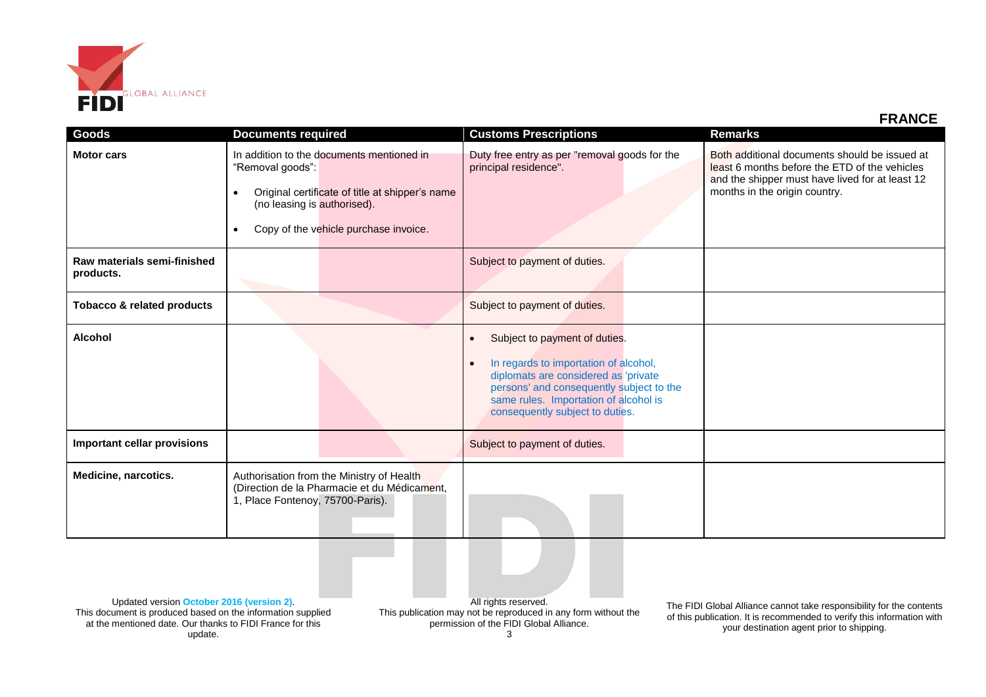

## **FRANCE**

| Goods                                    | <b>Documents required</b>                                                                                                                                                                                          | <b>Customs Prescriptions</b>                                                                                                                                                                                                                                     | <b>Remarks</b>                                                                                                                                                                     |
|------------------------------------------|--------------------------------------------------------------------------------------------------------------------------------------------------------------------------------------------------------------------|------------------------------------------------------------------------------------------------------------------------------------------------------------------------------------------------------------------------------------------------------------------|------------------------------------------------------------------------------------------------------------------------------------------------------------------------------------|
| <b>Motor cars</b>                        | In addition to the documents mentioned in<br>"Removal goods":<br>Original certificate of title at shipper's name<br>$\bullet$<br>(no leasing is authorised).<br>Copy of the vehicle purchase invoice.<br>$\bullet$ | Duty free entry as per "removal goods for the<br>principal residence".                                                                                                                                                                                           | Both additional documents should be issued at<br>least 6 months before the ETD of the vehicles<br>and the shipper must have lived for at least 12<br>months in the origin country. |
| Raw materials semi-finished<br>products. |                                                                                                                                                                                                                    | Subject to payment of duties.                                                                                                                                                                                                                                    |                                                                                                                                                                                    |
| <b>Tobacco &amp; related products</b>    |                                                                                                                                                                                                                    | Subject to payment of duties.                                                                                                                                                                                                                                    |                                                                                                                                                                                    |
| <b>Alcohol</b>                           |                                                                                                                                                                                                                    | Subject to payment of duties.<br>$\bullet$<br>In regards to importation of alcohol,<br>$\bullet$<br>diplomats are considered as 'private<br>persons' and consequently subject to the<br>same rules. Importation of alcohol is<br>consequently subject to duties. |                                                                                                                                                                                    |
| <b>Important cellar provisions</b>       |                                                                                                                                                                                                                    | Subject to payment of duties.                                                                                                                                                                                                                                    |                                                                                                                                                                                    |
| Medicine, narcotics.                     | Authorisation from the Ministry of Health<br>(Direction de la Pharmacie et du Médicament,<br>1, Place Fontenoy, 75700-Paris).                                                                                      |                                                                                                                                                                                                                                                                  |                                                                                                                                                                                    |

Updated version **October 2016 (version 2)**. This document is produced based on the information supplied at the mentioned date. Our thanks to FIDI France for this update.

All rights reserved. This publication may not be reproduced in any form without the permission of the FIDI Global Alliance.

The FIDI Global Alliance cannot take responsibility for the contents of this publication. It is recommended to verify this information with your destination agent prior to shipping.